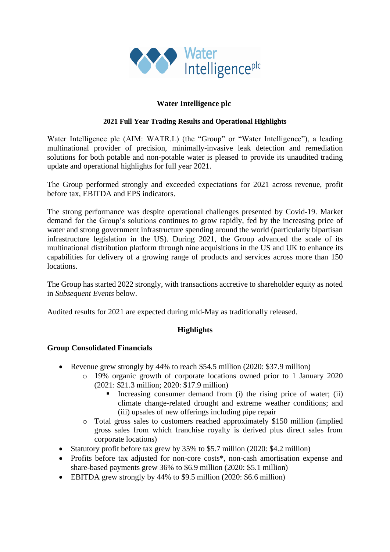

# **Water Intelligence plc**

#### **2021 Full Year Trading Results and Operational Highlights**

Water Intelligence plc (AIM: WATR.L) (the "Group" or "Water Intelligence"), a leading multinational provider of precision, minimally-invasive leak detection and remediation solutions for both potable and non-potable water is pleased to provide its unaudited trading update and operational highlights for full year 2021.

The Group performed strongly and exceeded expectations for 2021 across revenue, profit before tax, EBITDA and EPS indicators.

The strong performance was despite operational challenges presented by Covid-19. Market demand for the Group's solutions continues to grow rapidly, fed by the increasing price of water and strong government infrastructure spending around the world (particularly bipartisan infrastructure legislation in the US). During 2021, the Group advanced the scale of its multinational distribution platform through nine acquisitions in the US and UK to enhance its capabilities for delivery of a growing range of products and services across more than 150 locations.

The Group has started 2022 strongly, with transactions accretive to shareholder equity as noted in *Subsequent Events* below.

Audited results for 2021 are expected during mid-May as traditionally released.

### **Highlights**

### **Group Consolidated Financials**

- Revenue grew strongly by 44% to reach \$54.5 million (2020: \$37.9 million)
	- o 19% organic growth of corporate locations owned prior to 1 January 2020 (2021: \$21.3 million; 2020: \$17.9 million)
		- **•** Increasing consumer demand from (i) the rising price of water; (ii) climate change-related drought and extreme weather conditions; and (iii) upsales of new offerings including pipe repair
	- o Total gross sales to customers reached approximately \$150 million (implied gross sales from which franchise royalty is derived plus direct sales from corporate locations)
- Statutory profit before tax grew by 35% to \$5.7 million (2020: \$4.2 million)
- Profits before tax adjusted for non-core costs<sup>\*</sup>, non-cash amortisation expense and share-based payments grew 36% to \$6.9 million (2020: \$5.1 million)
- EBITDA grew strongly by 44% to \$9.5 million (2020: \$6.6 million)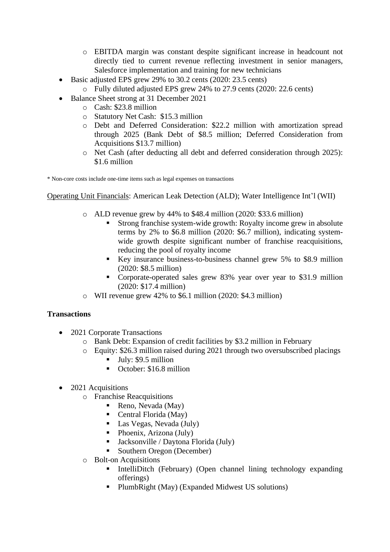- o EBITDA margin was constant despite significant increase in headcount not directly tied to current revenue reflecting investment in senior managers, Salesforce implementation and training for new technicians
- Basic adjusted EPS grew 29% to 30.2 cents (2020: 23.5 cents)
	- o Fully diluted adjusted EPS grew 24% to 27.9 cents (2020: 22.6 cents)
- Balance Sheet strong at 31 December 2021
	- o Cash: \$23.8 million
	- o Statutory Net Cash: \$15.3 million
	- o Debt and Deferred Consideration: \$22.2 million with amortization spread through 2025 (Bank Debt of \$8.5 million; Deferred Consideration from Acquisitions \$13.7 million)
	- o Net Cash (after deducting all debt and deferred consideration through 2025): \$1.6 million

\* Non-core costs include one-time items such as legal expenses on transactions

Operating Unit Financials: American Leak Detection (ALD); Water Intelligence Int'l (WII)

- o ALD revenue grew by 44% to \$48.4 million (2020: \$33.6 million)
	- Strong franchise system-wide growth: Royalty income grew in absolute terms by 2% to \$6.8 million (2020: \$6.7 million), indicating systemwide growth despite significant number of franchise reacquisitions, reducing the pool of royalty income
	- Key insurance business-to-business channel grew 5% to \$8.9 million (2020: \$8.5 million)
	- Corporate-operated sales grew 83% year over year to \$31.9 million (2020: \$17.4 million)
- o WII revenue grew 42% to \$6.1 million (2020: \$4.3 million)

### **Transactions**

- 2021 Corporate Transactions
	- o Bank Debt: Expansion of credit facilities by \$3.2 million in February
	- o Equity: \$26.3 million raised during 2021 through two oversubscribed placings
		- $\blacksquare$  July: \$9.5 million
		- October: \$16.8 million
- 2021 Acquisitions
	- o Franchise Reacquisitions
		- Reno, Nevada (May)
		- $\blacksquare$  Central Florida (May)
		- Las Vegas, Nevada (July)
		- $\blacksquare$  Phoenix, Arizona (July)
		- Jacksonville / Daytona Florida (July)
		- Southern Oregon (December)
	- o Bolt-on Acquisitions
		- IntelliDitch (February) (Open channel lining technology expanding offerings)
		- PlumbRight (May) (Expanded Midwest US solutions)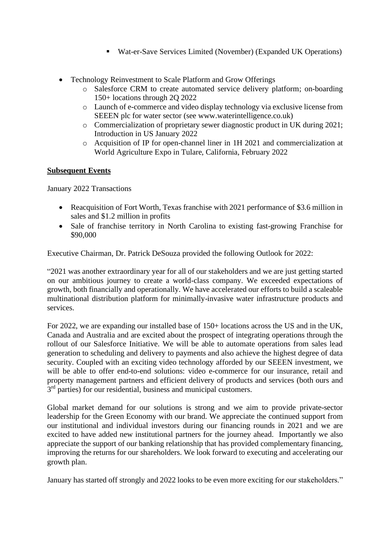- Wat-er-Save Services Limited (November) (Expanded UK Operations)
- Technology Reinvestment to Scale Platform and Grow Offerings
	- o Salesforce CRM to create automated service delivery platform; on-boarding 150+ locations through 2Q 2022
	- o Launch of e-commerce and video display technology via exclusive license from SEEEN plc for water sector (see www.waterintelligence.co.uk)
	- o Commercialization of proprietary sewer diagnostic product in UK during 2021; Introduction in US January 2022
	- o Acquisition of IP for open-channel liner in 1H 2021 and commercialization at World Agriculture Expo in Tulare, California, February 2022

# **Subsequent Events**

January 2022 Transactions

- Reacquisition of Fort Worth, Texas franchise with 2021 performance of \$3.6 million in sales and \$1.2 million in profits
- Sale of franchise territory in North Carolina to existing fast-growing Franchise for \$90,000

Executive Chairman, Dr. Patrick DeSouza provided the following Outlook for 2022:

"2021 was another extraordinary year for all of our stakeholders and we are just getting started on our ambitious journey to create a world-class company. We exceeded expectations of growth, both financially and operationally. We have accelerated our efforts to build a scaleable multinational distribution platform for minimally-invasive water infrastructure products and services.

For 2022, we are expanding our installed base of 150+ locations across the US and in the UK, Canada and Australia and are excited about the prospect of integrating operations through the rollout of our Salesforce Initiative. We will be able to automate operations from sales lead generation to scheduling and delivery to payments and also achieve the highest degree of data security. Coupled with an exciting video technology afforded by our SEEEN investment, we will be able to offer end-to-end solutions: video e-commerce for our insurance, retail and property management partners and efficient delivery of products and services (both ours and 3<sup>rd</sup> parties) for our residential, business and municipal customers.

Global market demand for our solutions is strong and we aim to provide private-sector leadership for the Green Economy with our brand. We appreciate the continued support from our institutional and individual investors during our financing rounds in 2021 and we are excited to have added new institutional partners for the journey ahead. Importantly we also appreciate the support of our banking relationship that has provided complementary financing, improving the returns for our shareholders. We look forward to executing and accelerating our growth plan.

January has started off strongly and 2022 looks to be even more exciting for our stakeholders."